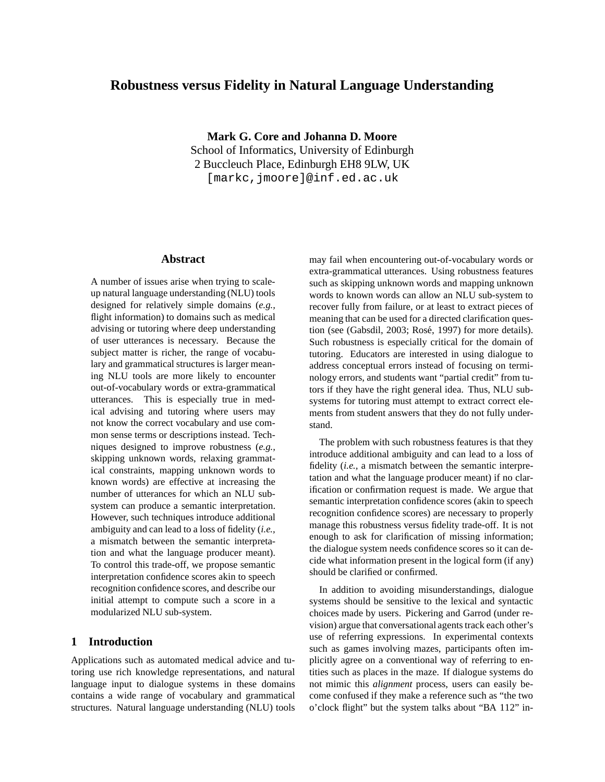# **Robustness versus Fidelity in Natural Language Understanding**

**Mark G. Core and Johanna D. Moore** School of Informatics, University of Edinburgh 2 Buccleuch Place, Edinburgh EH8 9LW, UK [markc,jmoore]@inf.ed.ac.uk

#### **Abstract**

A number of issues arise when trying to scaleup natural language understanding (NLU) tools designed for relatively simple domains (*e.g.,* flight information) to domains such as medical advising or tutoring where deep understanding of user utterances is necessary. Because the subject matter is richer, the range of vocabulary and grammatical structures is larger meaning NLU tools are more likely to encounter out-of-vocabulary words or extra-grammatical utterances. This is especially true in medical advising and tutoring where users may not know the correct vocabulary and use common sense terms or descriptions instead. Techniques designed to improve robustness (*e.g.,* skipping unknown words, relaxing grammatical constraints, mapping unknown words to known words) are effective at increasing the number of utterances for which an NLU subsystem can produce a semantic interpretation. However, such techniques introduce additional ambiguity and can lead to a loss of fidelity (*i.e.,* a mismatch between the semantic interpretation and what the language producer meant). To control this trade-off, we propose semantic interpretation confidence scores akin to speech recognition confidence scores, and describe our initial attempt to compute such a score in a modularized NLU sub-system.

## **1 Introduction**

Applications such as automated medical advice and tutoring use rich knowledge representations, and natural language input to dialogue systems in these domains contains a wide range of vocabulary and grammatical structures. Natural language understanding (NLU) tools may fail when encountering out-of-vocabulary words or extra-grammatical utterances. Using robustness features such as skipping unknown words and mapping unknown words to known words can allow an NLU sub-system to recover fully from failure, or at least to extract pieces of meaning that can be used for a directed clarification question (see (Gabsdil, 2003; Rosé, 1997) for more details). Such robustness is especially critical for the domain of tutoring. Educators are interested in using dialogue to address conceptual errors instead of focusing on terminology errors, and students want "partial credit" from tutors if they have the right general idea. Thus, NLU subsystems for tutoring must attempt to extract correct elements from student answers that they do not fully understand.

The problem with such robustness features is that they introduce additional ambiguity and can lead to a loss of fidelity (*i.e.,* a mismatch between the semantic interpretation and what the language producer meant) if no clarification or confirmation request is made. We argue that semantic interpretation confidence scores (akin to speech recognition confidence scores) are necessary to properly manage this robustness versus fidelity trade-off. It is not enough to ask for clarification of missing information; the dialogue system needs confidence scores so it can decide what information present in the logical form (if any) should be clarified or confirmed.

In addition to avoiding misunderstandings, dialogue systems should be sensitive to the lexical and syntactic choices made by users. Pickering and Garrod (under revision) argue that conversational agents track each other's use of referring expressions. In experimental contexts such as games involving mazes, participants often implicitly agree on a conventional way of referring to entities such as places in the maze. If dialogue systems do not mimic this *alignment* process, users can easily become confused if they make a reference such as "the two o'clock flight" but the system talks about "BA 112" in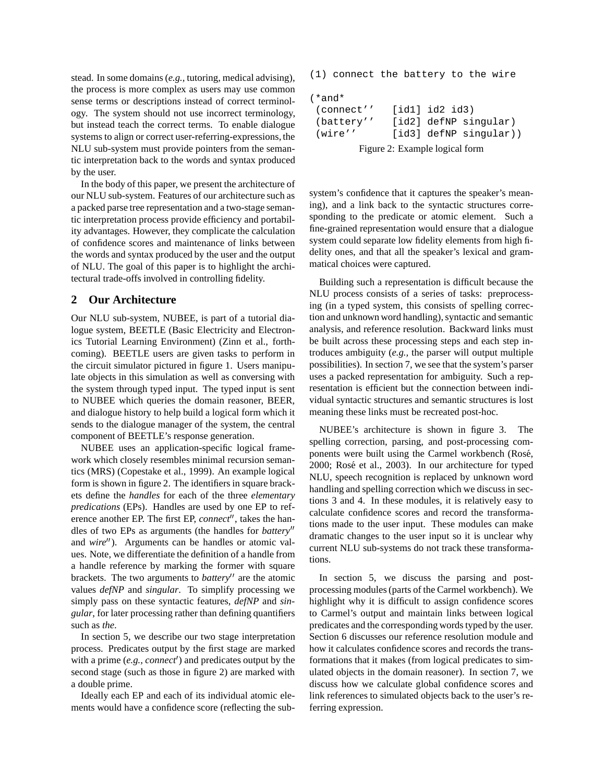stead. In some domains (*e.g.,* tutoring, medical advising), the process is more complex as users may use common sense terms or descriptions instead of correct terminology. The system should not use incorrect terminology, but instead teach the correct terms. To enable dialogue systems to align or correct user-referring-expressions, the NLU sub-system must provide pointers from the semantic interpretation back to the words and syntax produced by the user.

In the body of this paper, we present the architecture of our NLU sub-system. Features of our architecture such as a packed parse tree representation and a two-stage semantic interpretation process provide efficiency and portability advantages. However, they complicate the calculation of confidence scores and maintenance of links between the words and syntax produced by the user and the output of NLU. The goal of this paper is to highlight the architectural trade-offs involved in controlling fidelity.

#### **2 Our Architecture**

Our NLU sub-system, NUBEE, is part of a tutorial dialogue system, BEETLE (Basic Electricity and Electronics Tutorial Learning Environment) (Zinn et al., forthcoming). BEETLE users are given tasks to perform in the circuit simulator pictured in figure 1. Users manipulate objects in this simulation as well as conversing with the system through typed input. The typed input is sent to NUBEE which queries the domain reasoner, BEER, and dialogue history to help build a logical form which it sends to the dialogue manager of the system, the central component of BEETLE's response generation.

NUBEE uses an application-specific logical framework which closely resembles minimal recursion semantics (MRS) (Copestake et al., 1999). An example logical form is shown in figure 2. The identifiers in square brackets define the *handles* for each of the three *elementary predications* (EPs). Handles are used by one EP to reference another EP. The first EP, *connect*", takes the handles of two EPs as arguments (the handles for *battery* and *wire*"). Arguments can be handles or atomic values. Note, we differentiate the definition of a handle from a handle reference by marking the former with square brackets. The two arguments to *battery*<sup>"</sup> are the atomic values *defNP* and *singular*. To simplify processing we simply pass on these syntactic features, *defNP* and *singular*, for later processing rather than defining quantifiers such as *the*.

In section 5, we describe our two stage interpretation process. Predicates output by the first stage are marked with a prime (e.g., *connect'*) and predicates output by the second stage (such as those in figure 2) are marked with a double prime.

Ideally each EP and each of its individual atomic elements would have a confidence score (reflecting the sub(1) connect the battery to the wire

| $(*and*$                       |  |                |                          |
|--------------------------------|--|----------------|--------------------------|
| (connect''                     |  | [id1] id2 id3) |                          |
| (battery''                     |  |                | [id2] defNP singular)    |
| (wire''                        |  |                | $[id3]$ defNP singular)) |
| Figure 2: Example logical form |  |                |                          |

system's confidence that it captures the speaker's meaning), and a link back to the syntactic structures corresponding to the predicate or atomic element. Such a fine-grained representation would ensure that a dialogue system could separate low fidelity elements from high fidelity ones, and that all the speaker's lexical and grammatical choices were captured.

Building such a representation is difficult because the NLU process consists of a series of tasks: preprocessing (in a typed system, this consists of spelling correction and unknown word handling), syntactic and semantic analysis, and reference resolution. Backward links must be built across these processing steps and each step introduces ambiguity (*e.g.,* the parser will output multiple possibilities). In section 7, we see that the system's parser uses a packed representation for ambiguity. Such a representation is efficient but the connection between individual syntactic structures and semantic structures is lost meaning these links must be recreated post-hoc.

NUBEE's architecture is shown in figure 3. The spelling correction, parsing, and post-processing components were built using the Carmel workbench (Rosé, 2000; Rosé et al., 2003). In our architecture for typed NLU, speech recognition is replaced by unknown word handling and spelling correction which we discuss in sections 3 and 4. In these modules, it is relatively easy to calculate confidence scores and record the transformations made to the user input. These modules can make dramatic changes to the user input so it is unclear why current NLU sub-systems do not track these transformations.

In section 5, we discuss the parsing and postprocessing modules(parts of the Carmel workbench). We highlight why it is difficult to assign confidence scores to Carmel's output and maintain links between logical predicates and the corresponding words typed by the user. Section 6 discusses our reference resolution module and how it calculates confidence scores and records the transformations that it makes (from logical predicates to simulated objects in the domain reasoner). In section 7, we discuss how we calculate global confidence scores and link references to simulated objects back to the user's referring expression.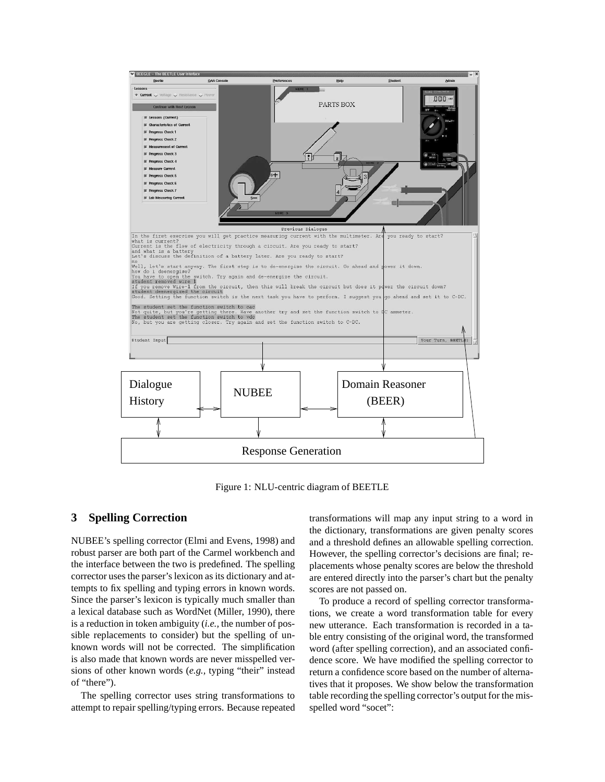

Figure 1: NLU-centric diagram of BEETLE

#### **3 Spelling Correction**

NUBEE's spelling corrector (Elmi and Evens, 1998) and robust parser are both part of the Carmel workbench and the interface between the two is predefined. The spelling corrector uses the parser's lexicon as its dictionary and attempts to fix spelling and typing errors in known words. Since the parser's lexicon is typically much smaller than a lexical database such as WordNet (Miller, 1990), there is a reduction in token ambiguity (*i.e.,* the number of possible replacements to consider) but the spelling of unknown words will not be corrected. The simplification is also made that known words are never misspelled versions of other known words (*e.g.,* typing "their" instead of "there").

The spelling corrector uses string transformations to attempt to repair spelling/typing errors. Because repeated transformations will map any input string to a word in the dictionary, transformations are given penalty scores and a threshold defines an allowable spelling correction. However, the spelling corrector's decisions are final; replacements whose penalty scores are below the threshold are entered directly into the parser's chart but the penalty scores are not passed on.

To produce a record of spelling corrector transformations, we create a word transformation table for every new utterance. Each transformation is recorded in a table entry consisting of the original word, the transformed word (after spelling correction), and an associated confidence score. We have modified the spelling corrector to return a confidence score based on the number of alternatives that it proposes. We show below the transformation table recording the spelling corrector's output for the misspelled word "socet":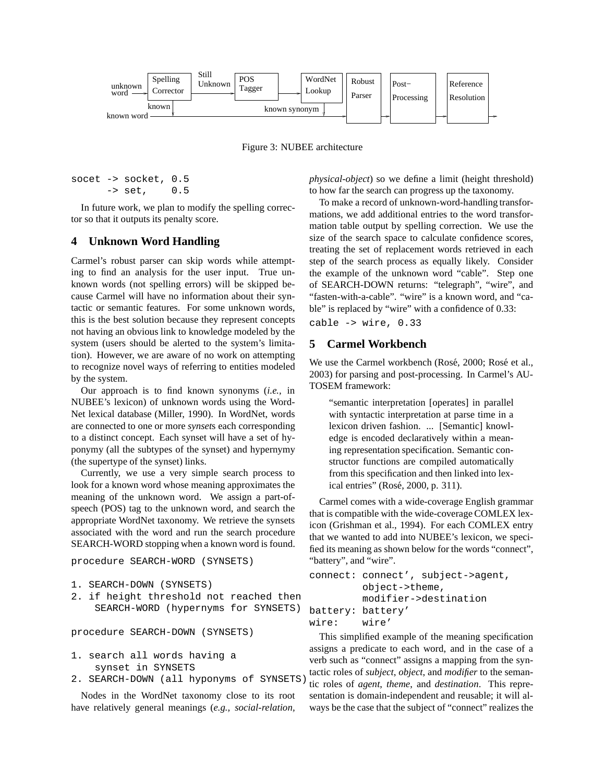

Figure 3: NUBEE architecture

```
socet -> socket, 0.5
     -> set, 0.5
```
In future work, we plan to modify the spelling corrector so that it outputs its penalty score.

#### **4 Unknown Word Handling**

Carmel's robust parser can skip words while attempting to find an analysis for the user input. True unknown words (not spelling errors) will be skipped because Carmel will have no information about their syntactic or semantic features. For some unknown words, this is the best solution because they represent concepts not having an obvious link to knowledge modeled by the system (users should be alerted to the system's limitation). However, we are aware of no work on attempting to recognize novel ways of referring to entities modeled by the system.

Our approach is to find known synonyms (*i.e.,* in NUBEE's lexicon) of unknown words using the Word-Net lexical database (Miller, 1990). In WordNet, words are connected to one or more *synset*s each corresponding to a distinct concept. Each synset will have a set of hyponymy (all the subtypes of the synset) and hypernymy (the supertype of the synset) links.

Currently, we use a very simple search process to look for a known word whose meaning approximates the meaning of the unknown word. We assign a part-ofspeech (POS) tag to the unknown word, and search the appropriate WordNet taxonomy. We retrieve the synsets associated with the word and run the search procedure SEARCH-WORD stopping when a known word is found.

procedure SEARCH-WORD (SYNSETS)

```
1. SEARCH-DOWN (SYNSETS)
```
2. if height threshold not reached then SEARCH-WORD (hypernyms for SYNSETS)

procedure SEARCH-DOWN (SYNSETS)

- 1. search all words having a synset in SYNSETS
- 2. SEARCH-DOWN (all hyponyms of SYNSETS)

Nodes in the WordNet taxonomy close to its root have relatively general meanings (*e.g., social-relation,*

*physical-object*) so we define a limit (height threshold) to how far the search can progress up the taxonomy.

To make a record of unknown-word-handling transformations, we add additional entries to the word transformation table output by spelling correction. We use the size of the search space to calculate confidence scores, treating the set of replacement words retrieved in each step of the search process as equally likely. Consider the example of the unknown word "cable". Step one of SEARCH-DOWN returns: "telegraph", "wire", and "fasten-with-a-cable". "wire" is a known word, and "cable" is replaced by "wire" with a confidence of 0.33:

cable -> wire, 0.33

## **5 Carmel Workbench**

We use the Carmel workbench (Rosé, 2000; Rosé et al., 2003) for parsing and post-processing. In Carmel's AU-TOSEM framework:

"semantic interpretation [operates] in parallel with syntactic interpretation at parse time in a lexicon driven fashion. ... [Semantic] knowledge is encoded declaratively within a meaning representation specification. Semantic constructor functions are compiled automatically from this specification and then linked into lexical entries" (Rosé, 2000, p. 311).

Carmel comes with a wide-coverage English grammar that is compatible with the wide-coverage COMLEX lexicon (Grishman et al., 1994). For each COMLEX entry that we wanted to add into NUBEE's lexicon, we specified its meaning as shown below for the words "connect", "battery", and "wire".

```
connect: connect', subject->agent,
         object->theme,
         modifier->destination
battery: battery'
wire: wire'
```
This simplified example of the meaning specification assigns a predicate to each word, and in the case of a verb such as "connect" assigns a mapping from the syntactic roles of *subject*, *object*, and *modifier* to the semantic roles of *agent*, *theme*, and *destination*. This representation is domain-independent and reusable; it will always be the case that the subject of "connect" realizes the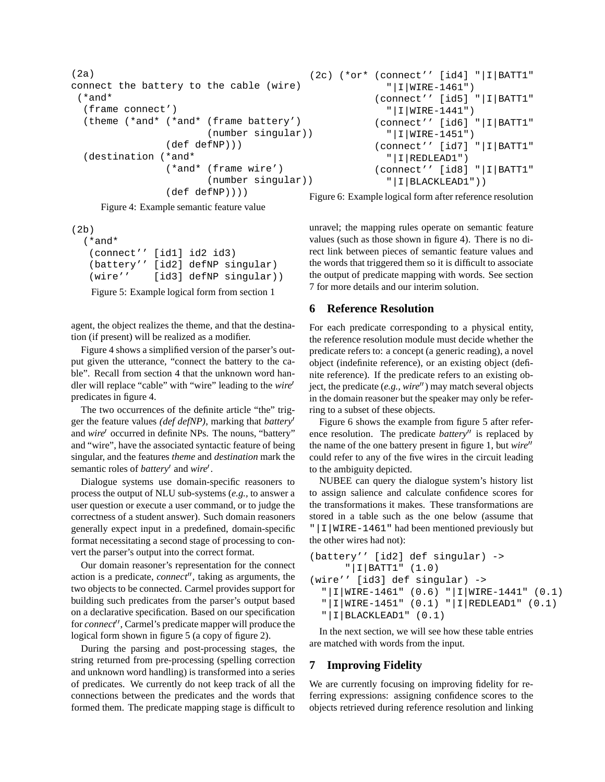```
(2a)
connect the battery to the cable (wire)
 (*and*
  (frame connect')
  (theme (*and* (*and* (frame battery')
                        (number singular))
                 (def defNP)))
  (destination (*and*
                 (*and* (frame wire')
                        (number singular))
                 (def defNP))))
                                          (2c) (*or* (connect'' [id4] "|I|BATT1"
                                                        "|I|WIRE-1461")
                                                      (connect'' [id5] "|I|BATT1"
                                                        "|I|WIRE-1441")
                                                      (connect'' [id6] "|I|BATT1"
                                                        "|I|WIRE-1451")
                                                      (connect'' [id7] "|I|BATT1"
                                                        "|I|REDLEAD1")
                                                      (connect'' [id8] "|I|BATT1"
                                                        "|I|BLACKLEAD1"))
```
Figure 4: Example semantic feature value

(2b)

```
(*and*
 (connect'' [id1] id2 id3)
 (battery'' [id2] defNP singular)
 (wire'' [id3] defNP singular))
```
Figure 5: Example logical form from section 1

agent, the object realizes the theme, and that the destination (if present) will be realized as a modifier.

Figure 4 shows a simplified version of the parser's output given the utterance, "connect the battery to the cable". Recall from section 4 that the unknown word handler will replace "cable" with "wire" leading to the *wire* predicates in figure 4.

The two occurrences of the definite article "the" trigger the feature values *(def defNP)*, marking that *battery* and *wire'* occurred in definite NPs. The nouns, "battery" and "wire", have the associated syntactic feature of being singular, and the features *theme* and *destination* mark the semantic roles of *battery'* and *wire'*.

Dialogue systems use domain-specific reasoners to process the output of NLU sub-systems (*e.g.,* to answer a user question or execute a user command, or to judge the correctness of a student answer). Such domain reasoners generally expect input in a predefined, domain-specific format necessitating a second stage of processing to convert the parser's output into the correct format.

Our domain reasoner's representation for the connect action is a predicate, *connect*", taking as arguments, the two objects to be connected. Carmel provides support for building such predicates from the parser's output based on a declarative specification. Based on our specification for *connect*", Carmel's predicate mapper will produce the logical form shown in figure 5 (a copy of figure 2).

During the parsing and post-processing stages, the string returned from pre-processing (spelling correction and unknown word handling) is transformed into a series of predicates. We currently do not keep track of all the connections between the predicates and the words that formed them. The predicate mapping stage is difficult to

Figure 6: Example logical form after reference resolution

unravel; the mapping rules operate on semantic feature values (such as those shown in figure 4). There is no direct link between pieces of semantic feature values and the words that triggered them so it is difficult to associate the output of predicate mapping with words. See section 7 for more details and our interim solution.

# **6 Reference Resolution**

For each predicate corresponding to a physical entity, the reference resolution module must decide whether the predicate refers to: a concept (a generic reading), a novel object (indefinite reference), or an existing object (definite reference). If the predicate refers to an existing object, the predicate (*e.g., wire*") may match several objects in the domain reasoner but the speaker may only be referring to a subset of these objects.

Figure 6 shows the example from figure 5 after reference resolution. The predicate *battery*" is replaced by the name of the one battery present in figure 1, but *wire* could refer to any of the five wires in the circuit leading to the ambiguity depicted.

NUBEE can query the dialogue system's history list to assign salience and calculate confidence scores for the transformations it makes. These transformations are stored in a table such as the one below (assume that "|I|WIRE-1461" had been mentioned previously but the other wires had not):

```
(battery'' [id2] def singular) ->
      "|I|BATT1" (1.0)
(wire'' [id3] def singular) ->
  "|I|WIRE-1461" (0.6) "|I|WIRE-1441" (0.1)
  "|I|WIRE-1451" (0.1) "|I|REDLEAD1" (0.1)
  "|I|BLACKLEAD1" (0.1)
```
In the next section, we will see how these table entries are matched with words from the input.

# **7 Improving Fidelity**

We are currently focusing on improving fidelity for referring expressions: assigning confidence scores to the objects retrieved during reference resolution and linking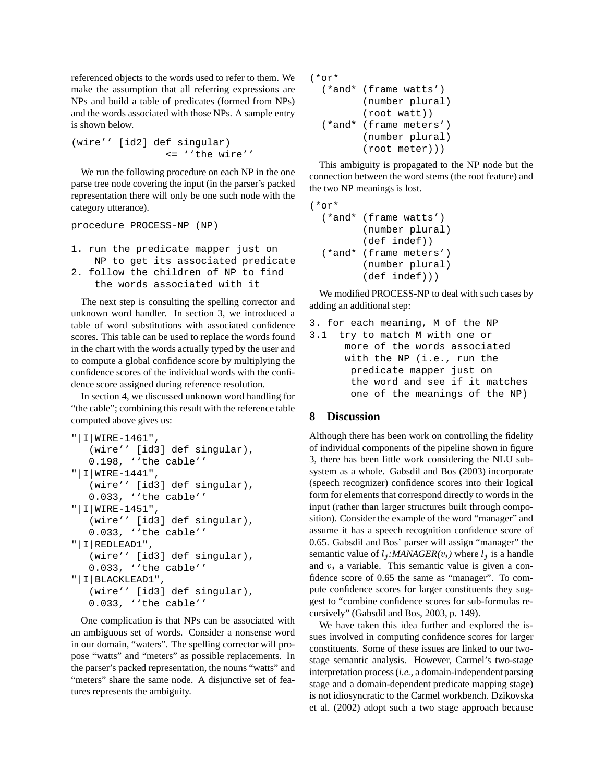referenced objects to the words used to refer to them. We make the assumption that all referring expressions are NPs and build a table of predicates (formed from NPs) and the words associated with those NPs. A sample entry is shown below.

(wire'' [id2] def singular) <= ''the wire''

We run the following procedure on each NP in the one parse tree node covering the input (in the parser's packed representation there will only be one such node with the category utterance).

```
procedure PROCESS-NP (NP)
```
1. run the predicate mapper just on NP to get its associated predicate 2. follow the children of NP to find the words associated with it

The next step is consulting the spelling corrector and unknown word handler. In section 3, we introduced a table of word substitutions with associated confidence scores. This table can be used to replace the words found in the chart with the words actually typed by the user and to compute a global confidence score by multiplying the confidence scores of the individual words with the confidence score assigned during reference resolution.

In section 4, we discussed unknown word handling for "the cable"; combining this result with the reference table computed above gives us:

```
"|I|WIRE-1461",
   (wire'' [id3] def singular),
   0.198, ''the cable''
"|I|WIRE-1441",
   (wire'' [id3] def singular),
   0.033, ''the cable''
"|I|WIRE-1451",
   (wire'' [id3] def singular),
   0.033, ''the cable''
"|I|REDLEAD1",
   (wire'' [id3] def singular),
   0.033, ''the cable''
"|I|BLACKLEAD1",
   (wire'' [id3] def singular),
   0.033, ''the cable''
```
One complication is that NPs can be associated with an ambiguous set of words. Consider a nonsense word in our domain, "waters". The spelling corrector will propose "watts" and "meters" as possible replacements. In the parser's packed representation, the nouns "watts" and "meters" share the same node. A disjunctive set of features represents the ambiguity.

```
(*or*
  (*and* (frame watts')
         (number plural)
         (root watt))
  (*and* (frame meters')
         (number plural)
         (root meter)))
```
This ambiguity is propagated to the NP node but the connection between the word stems (the root feature) and the two NP meanings is lost.

```
(*or*
  (*and* (frame watts')
         (number plural)
         (def indef))
  (*and* (frame meters')
         (number plural)
         (def indef)))
```
We modified PROCESS-NP to deal with such cases by adding an additional step:

```
3. for each meaning, M of the NP
3.1 try to match M with one or
      more of the words associated
     with the NP (i.e., run the
      predicate mapper just on
```
the word and see if it matches one of the meanings of the NP)

# **8 Discussion**

Although there has been work on controlling the fidelity of individual components of the pipeline shown in figure 3, there has been little work considering the NLU subsystem as a whole. Gabsdil and Bos (2003) incorporate (speech recognizer) confidence scores into their logical form for elements that correspond directly to words in the input (rather than larger structures built through composition). Consider the example of the word "manager" and assume it has a speech recognition confidence score of 0.65. Gabsdil and Bos' parser will assign "manager" the semantic value of  $l_j$ :*MANAGER(* $v_i$ *)* where  $l_j$  is a handle and  $v_i$  a variable. This semantic value is given a confidence score of 0.65 the same as "manager". To compute confidence scores for larger constituents they suggest to "combine confidence scores for sub-formulas recursively" (Gabsdil and Bos, 2003, p. 149).

We have taken this idea further and explored the issues involved in computing confidence scores for larger constituents. Some of these issues are linked to our twostage semantic analysis. However, Carmel's two-stage interpretation process(*i.e.,* a domain-independent parsing stage and a domain-dependent predicate mapping stage) is not idiosyncratic to the Carmel workbench. Dzikovska et al. (2002) adopt such a two stage approach because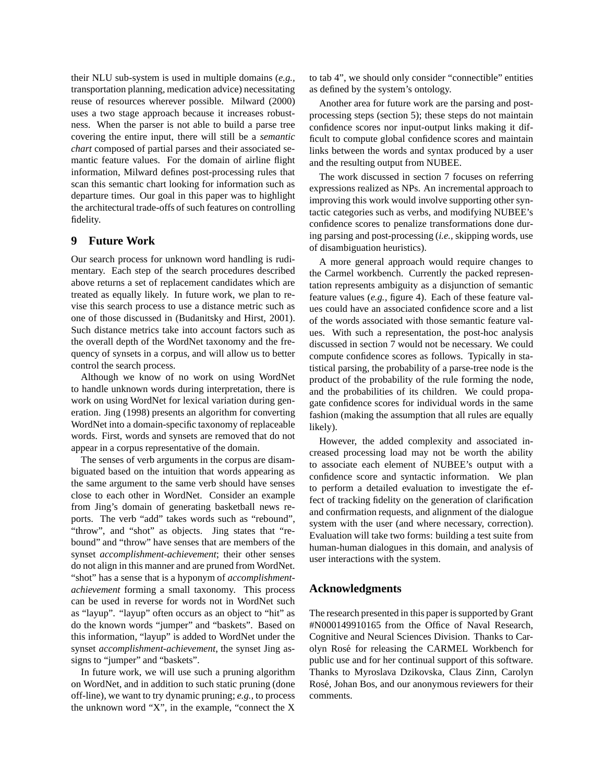their NLU sub-system is used in multiple domains (*e.g.,* transportation planning, medication advice) necessitating reuse of resources wherever possible. Milward (2000) uses a two stage approach because it increases robustness. When the parser is not able to build a parse tree covering the entire input, there will still be a *semantic chart* composed of partial parses and their associated semantic feature values. For the domain of airline flight information, Milward defines post-processing rules that scan this semantic chart looking for information such as departure times. Our goal in this paper was to highlight the architectural trade-offs of such features on controlling fidelity.

### **9 Future Work**

Our search process for unknown word handling is rudimentary. Each step of the search procedures described above returns a set of replacement candidates which are treated as equally likely. In future work, we plan to revise this search process to use a distance metric such as one of those discussed in (Budanitsky and Hirst, 2001). Such distance metrics take into account factors such as the overall depth of the WordNet taxonomy and the frequency of synsets in a corpus, and will allow us to better control the search process.

Although we know of no work on using WordNet to handle unknown words during interpretation, there is work on using WordNet for lexical variation during generation. Jing (1998) presents an algorithm for converting WordNet into a domain-specific taxonomy of replaceable words. First, words and synsets are removed that do not appear in a corpus representative of the domain.

The senses of verb arguments in the corpus are disambiguated based on the intuition that words appearing as the same argument to the same verb should have senses close to each other in WordNet. Consider an example from Jing's domain of generating basketball news reports. The verb "add" takes words such as "rebound", "throw", and "shot" as objects. Jing states that "rebound" and "throw" have senses that are members of the synset *accomplishment-achievement*; their other senses do not align in this manner and are pruned from WordNet. "shot" has a sense that is a hyponym of *accomplishmentachievement* forming a small taxonomy. This process can be used in reverse for words not in WordNet such as "layup". "layup" often occurs as an object to "hit" as do the known words "jumper" and "baskets". Based on this information, "layup" is added to WordNet under the synset *accomplishment-achievement*, the synset Jing assigns to "jumper" and "baskets".

In future work, we will use such a pruning algorithm on WordNet, and in addition to such static pruning (done off-line), we want to try dynamic pruning; *e.g.,* to process the unknown word "X", in the example, "connect the X to tab 4", we should only consider "connectible" entities as defined by the system's ontology.

Another area for future work are the parsing and postprocessing steps (section 5); these steps do not maintain confidence scores nor input-output links making it difficult to compute global confidence scores and maintain links between the words and syntax produced by a user and the resulting output from NUBEE.

The work discussed in section 7 focuses on referring expressions realized as NPs. An incremental approach to improving this work would involve supporting other syntactic categories such as verbs, and modifying NUBEE's confidence scores to penalize transformations done during parsing and post-processing (*i.e.,* skipping words, use of disambiguation heuristics).

A more general approach would require changes to the Carmel workbench. Currently the packed representation represents ambiguity as a disjunction of semantic feature values (*e.g.,* figure 4). Each of these feature values could have an associated confidence score and a list of the words associated with those semantic feature values. With such a representation, the post-hoc analysis discussed in section 7 would not be necessary. We could compute confidence scores as follows. Typically in statistical parsing, the probability of a parse-tree node is the product of the probability of the rule forming the node, and the probabilities of its children. We could propagate confidence scores for individual words in the same fashion (making the assumption that all rules are equally likely).

However, the added complexity and associated increased processing load may not be worth the ability to associate each element of NUBEE's output with a confidence score and syntactic information. We plan to perform a detailed evaluation to investigate the effect of tracking fidelity on the generation of clarification and confirmation requests, and alignment of the dialogue system with the user (and where necessary, correction). Evaluation will take two forms: building a test suite from human-human dialogues in this domain, and analysis of user interactions with the system.

#### **Acknowledgments**

The research presented in this paper is supported by Grant #N000149910165 from the Office of Naval Research, Cognitive and Neural Sciences Division. Thanks to Carolyn Rose´ for releasing the CARMEL Workbench for public use and for her continual support of this software. Thanks to Myroslava Dzikovska, Claus Zinn, Carolyn Rosé, Johan Bos, and our anonymous reviewers for their comments.